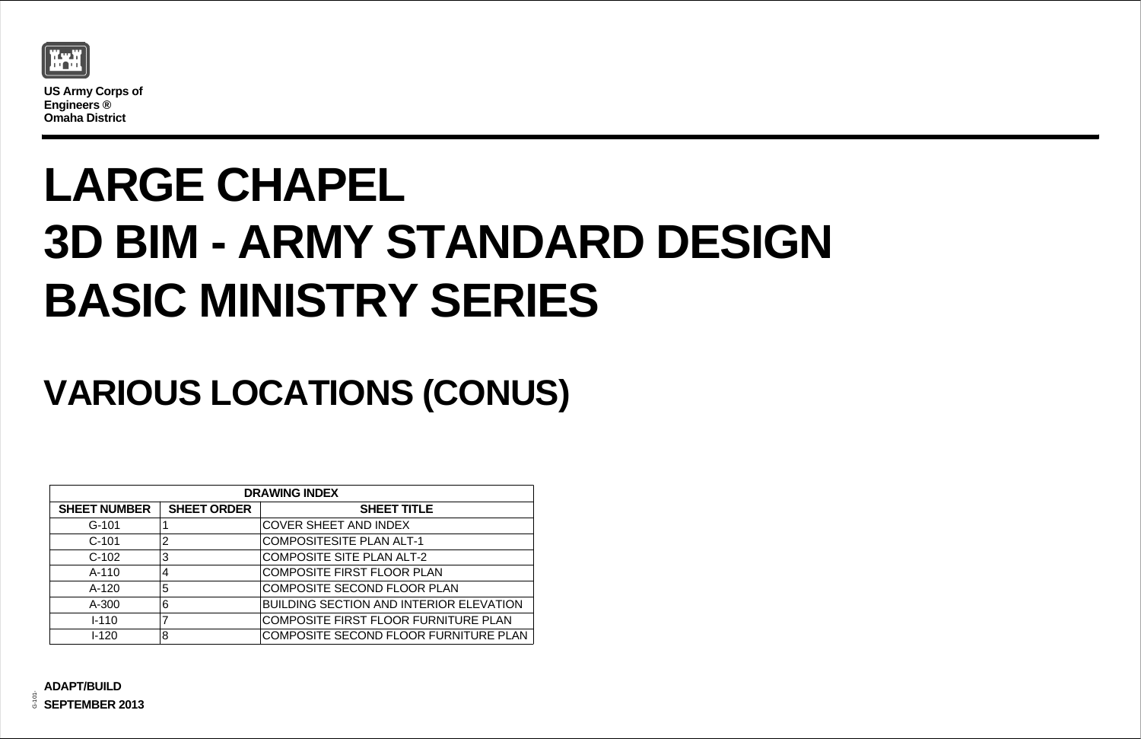

**US Army Corps of Engineers ® Omaha District**

| ΊE                     |
|------------------------|
|                        |
| 1                      |
| -2                     |
| <b>LAN</b>             |
| R PLAN                 |
| <b>ERIOR ELEVATION</b> |
| URNITURE PLAN          |
| R FURNITURE PLAN       |

## **VARIOUS LOCATIONS (CONUS)**

# **LARGE CHAPEL 3D BIM - ARMY STANDARD DESIGN BASIC MINISTRY SERIES**

| <b>DRAWING INDEX</b> |                    |                                                |  |  |  |
|----------------------|--------------------|------------------------------------------------|--|--|--|
| <b>SHEET NUMBER</b>  | <b>SHEET ORDER</b> | <b>SHEET TITLE</b>                             |  |  |  |
| $G-101$              |                    | <b>COVER SHEET AND INDEX</b>                   |  |  |  |
| $C-101$              | $\overline{2}$     | <b>COMPOSITESITE PLAN ALT-1</b>                |  |  |  |
| $C-102$              | 3                  | <b>COMPOSITE SITE PLAN ALT-2</b>               |  |  |  |
| $A-110$              | 4                  | <b>COMPOSITE FIRST FLOOR PLAN</b>              |  |  |  |
| $A-120$              | 5                  | <b>COMPOSITE SECOND FLOOR PLAN</b>             |  |  |  |
| A-300                | 6                  | <b>BUILDING SECTION AND INTERIOR ELEVATION</b> |  |  |  |
| $I - 110$            | 7                  | <b>COMPOSITE FIRST FLOOR FURNITURE PLAN</b>    |  |  |  |
| $1 - 120$            | 8                  | COMPOSITE SECOND FLOOR FURNITURE PLAN          |  |  |  |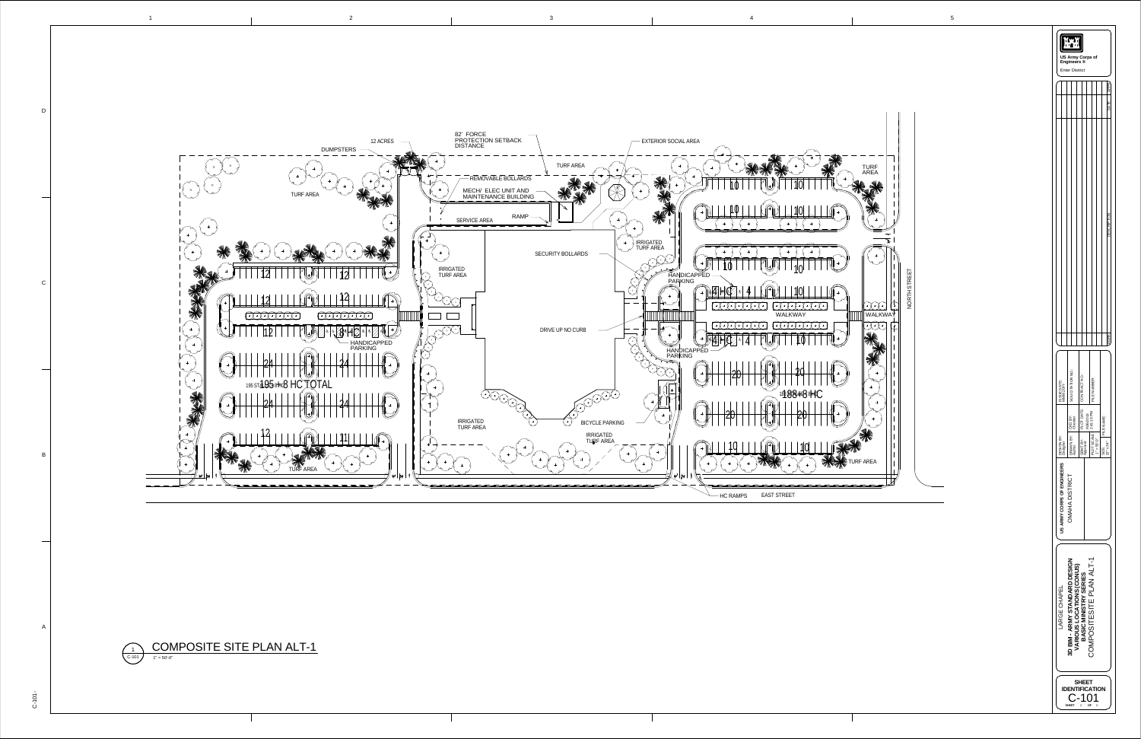

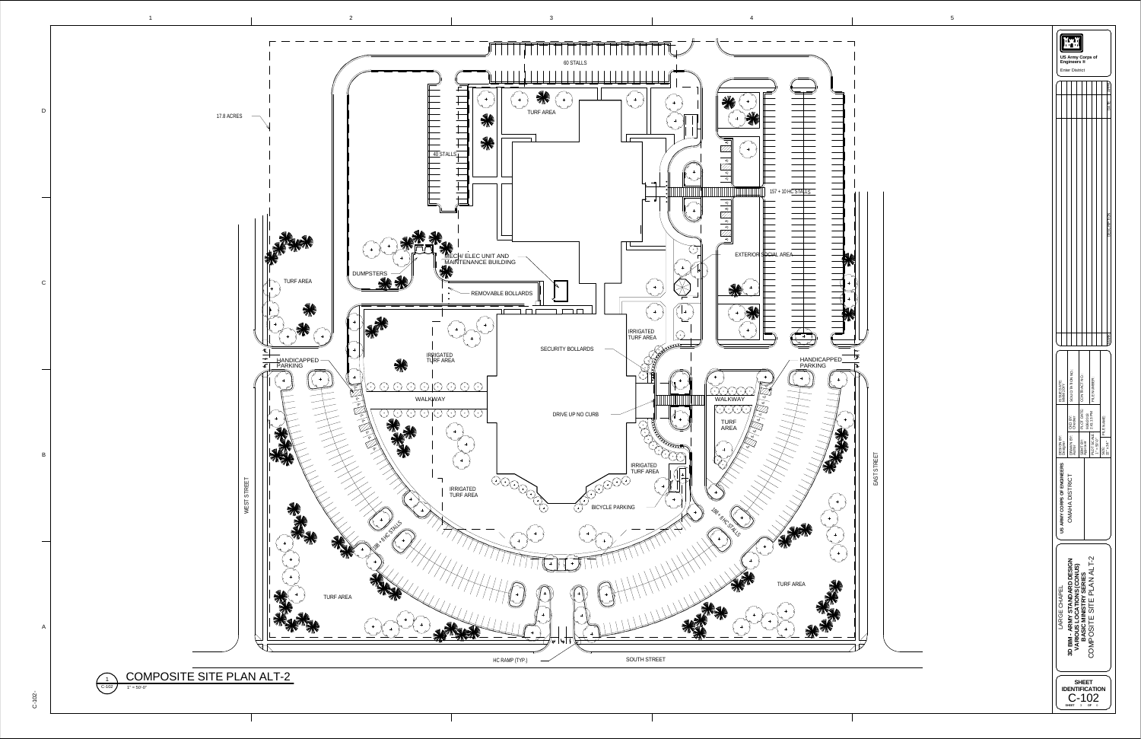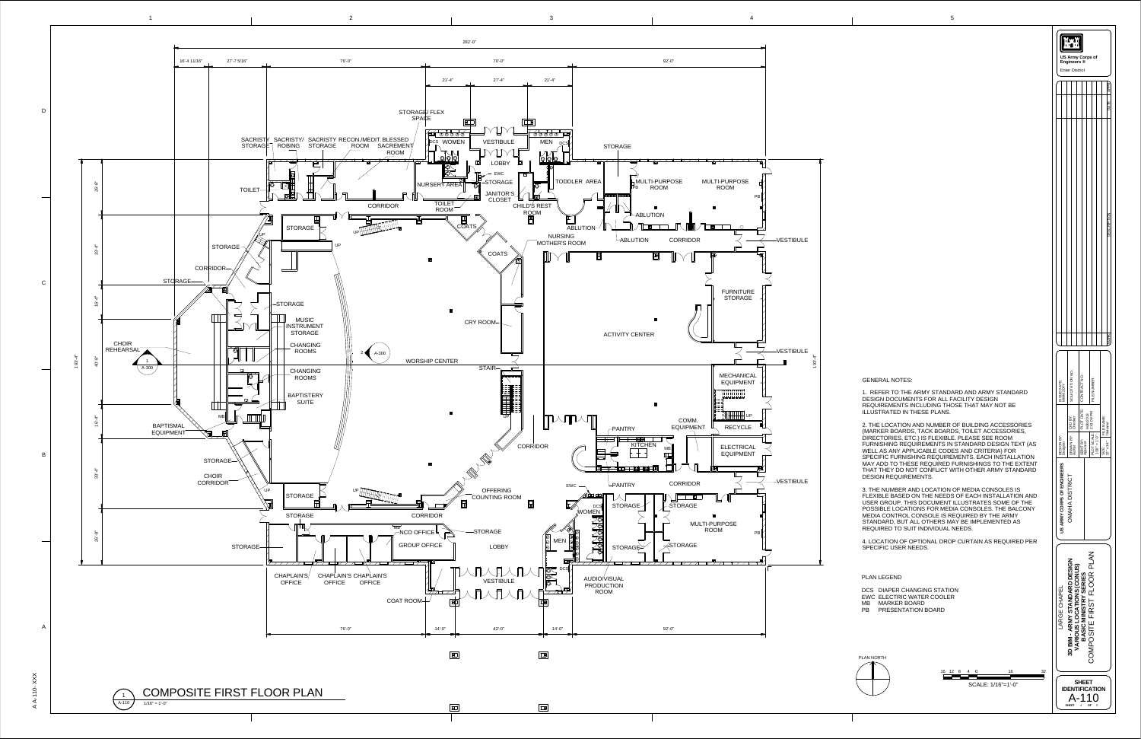AA- $\overline{\phantom{0}}$  $\overline{\phantom{0}}$ 0  $\times$  $\times$  $\times$ 

1







GENERAL NOTES:

|                            | <b>US Army Corps of</b><br>Engineers ®<br><b>Enter District</b> |                            |                                                 |                                    |
|----------------------------|-----------------------------------------------------------------|----------------------------|-------------------------------------------------|------------------------------------|
|                            |                                                                 |                            |                                                 |                                    |
|                            |                                                                 |                            |                                                 | DATE                               |
|                            |                                                                 |                            |                                                 | na<br>C                            |
|                            |                                                                 |                            |                                                 | MARK                               |
| ISSUE DATE:<br>MMM 20YY    | SOLICITATION NO.:                                               | PLOT DATE:   CONTRACT NO.: | FILE NUMBER:                                    |                                    |
|                            |                                                                 |                            | 9/26/2013                                       | FILE NAME:<br>filename             |
| DESIGN BY:<br>Designer     | DRAWN BY: CKD BY:<br>Author Checker                             | SBMT BY:<br>Approver       | $ $ PLOT SCALE: $ $ 2:41:09 PM<br>1/16" = 1'-0" | $34^{\degree}$<br>SIZE:<br>$22"$ x |
| US ARMY CORPS OF ENGINEERS | OMAHA DISTRICT                                                  |                            |                                                 |                                    |
| LARGE CHAPEL               | 3D BIM - ARMY STANDARD DESIGN<br>VARIOUS LOCATIONS (CONUS)      | BASIC MINISTRY SERIES      | CMPOSITE FIRST FLOOR PLAN<br>( )                |                                    |
|                            | <b>DENTIFICATION</b><br>SHEET 4 OF 0                            | <b>SHEET</b>               | \-110                                           |                                    |

1. REFER TO THE ARMY STANDARD AND ARMY STANDARD DESIGN DOCUMENTS FOR ALL FACILITY DESIGN REQUIREMENTS INCLUDING THOSE THAT MAY NOT BE ILLUSTRATED IN THESE PLANS.

2. THE LOCATION AND NUMBER OF BUILDING ACCESSORIES (MARKER BOARDS, TACK BOARDS, TOILET ACCESSORIES, DIRECTORIES, ETC.) IS FLEXIBLE. PLEASE SEE ROOM FURNISHING REQUIREMENTS IN STANDARD DESIGN TEXT (AS WELL AS ANY APPLICABLE CODES AND CRITERIA) FOR SPECIFIC FURNISHING REQUIREMENTS. EACH INSTALLATION MAY ADD TO THESE REQUIRED FURNISHINGS TO THE EXTENT THAT THEY DO NOT CONFLICT WITH OTHER ARMY STANDARD DESIGN REQUIREMENTS.

SCALE: 1/16"=1'-0" REQUIRED TO SUIT INDIVIDUAL NEEDS. 4. LOCATION OF OPTIONAL DROP CURTAIN AS REQUIRED PER SPECIFIC USER NEEDS. PLAN NORTH PLAN LEGEND DCS DIAPER CHANGING STATION EWC ELECTRIC WATER COOLER MB MARKER BOARDPB PRESENTATION BOARD

3. THE NUMBER AND LOCATION OF MEDIA CONSOLES IS FLEXIBLE BASED ON THE NEEDS OF EACH INSTALLATION AND USER GROUP. THIS DOCUMENT ILLUSTRATES SOME OF THE POSSIBLE LOCATIONS FOR MEDIA CONSOLES. THE BALCONYMEDIA CONTROL CONSOLE IS REQUIRED BY THE ARMY STANDARD, BUT ALL OTHERS MAY BE IMPLEMENTED AS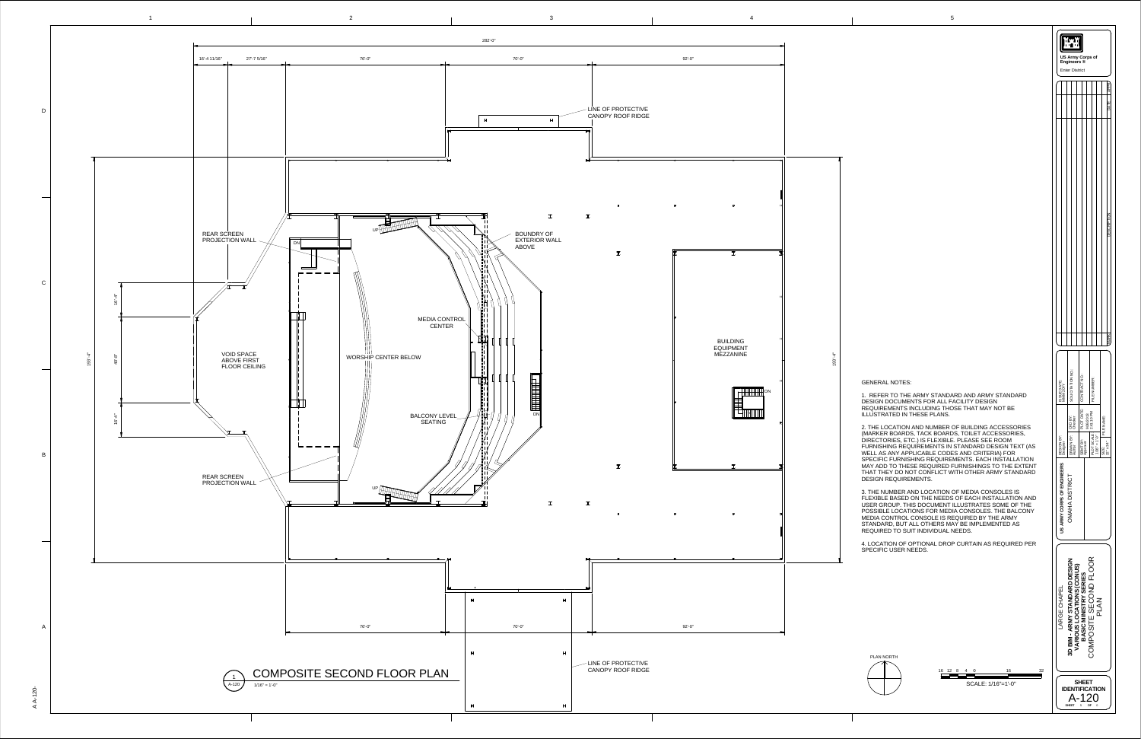

| 16 12 8 4 |  | 16                     |
|-----------|--|------------------------|
|           |  |                        |
|           |  | SCALE: $1/16" = 1'-0"$ |

GENERAL NOTES:

1. REFER TO THE ARMY STANDARD AND ARMY STANDARD DESIGN DOCUMENTS FOR ALL FACILITY DESIGN REQUIREMENTS INCLUDING THOSE THAT MAY NOT BE ILLUSTRATED IN THESE PLANS.

|                            | <b>US Army Corps of</b><br>Engineers ®<br><b>Enter District</b> |                                   |                                                        |                                         |
|----------------------------|-----------------------------------------------------------------|-----------------------------------|--------------------------------------------------------|-----------------------------------------|
|                            |                                                                 |                                   |                                                        |                                         |
|                            |                                                                 |                                   |                                                        | DATE                                    |
|                            |                                                                 |                                   |                                                        | <b>DESCRIPTION</b>                      |
| ISSUE DATE:<br>MMM 20YY    | SOLICITATION NO.:                                               | PLOT DATE:   CONTRACT NO.:        | FILE NUMBER:                                           | <b>MARK</b>                             |
| DESIGN BY:<br>Designer     | DRAWN BY: CKD BY:<br>Author Checker                             | 9/26/2013<br>SBMT BY:<br>Approver | OT SCALE: $ 2:41:10 P$ M<br>" = 1'-0"<br>PLOT<br>1/16" | FILE NAME:<br>$22" \times 34"$<br>SIZE: |
| US ARMY CORPS OF ENGINEERS | OMAHA DISTRICT                                                  |                                   |                                                        |                                         |
| LARGE CHAPEL               | 3D BIM - ARMY STANDARD DESIGN<br>VARIOUS LOCATIONS (CONUS)      | BASIC MINISTRY SERIES             | COMPOSITE SECOND FLOOR<br><b>PLAN</b>                  |                                         |
|                            |                                                                 | <b>SHEET</b><br><b>\-120</b>      | <b>ENTIFICATION</b>                                    |                                         |

2. THE LOCATION AND NUMBER OF BUILDING ACCESSORIES (MARKER BOARDS, TACK BOARDS, TOILET ACCESSORIES, DIRECTORIES, ETC.) IS FLEXIBLE. PLEASE SEE ROOM FURNISHING REQUIREMENTS IN STANDARD DESIGN TEXT (AS WELL AS ANY APPLICABLE CODES AND CRITERIA) FOR SPECIFIC FURNISHING REQUIREMENTS. EACH INSTALLATION MAY ADD TO THESE REQUIRED FURNISHINGS TO THE EXTENT THAT THEY DO NOT CONFLICT WITH OTHER ARMY STANDARD DESIGN REQUIREMENTS.

3. THE NUMBER AND LOCATION OF MEDIA CONSOLES IS FLEXIBLE BASED ON THE NEEDS OF EACH INSTALLATION AND USER GROUP. THIS DOCUMENT ILLUSTRATES SOME OF THE POSSIBLE LOCATIONS FOR MEDIA CONSOLES. THE BALCONY MEDIA CONTROL CONSOLE IS REQUIRED BY THE ARMY STANDARD, BUT ALL OTHERS MAY BE IMPLEMENTED AS REQUIRED TO SUIT INDIVIDUAL NEEDS.

4. LOCATION OF OPTIONAL DROP CURTAIN AS REQUIRED PER SPECIFIC USER NEEDS.

PLAN NORTH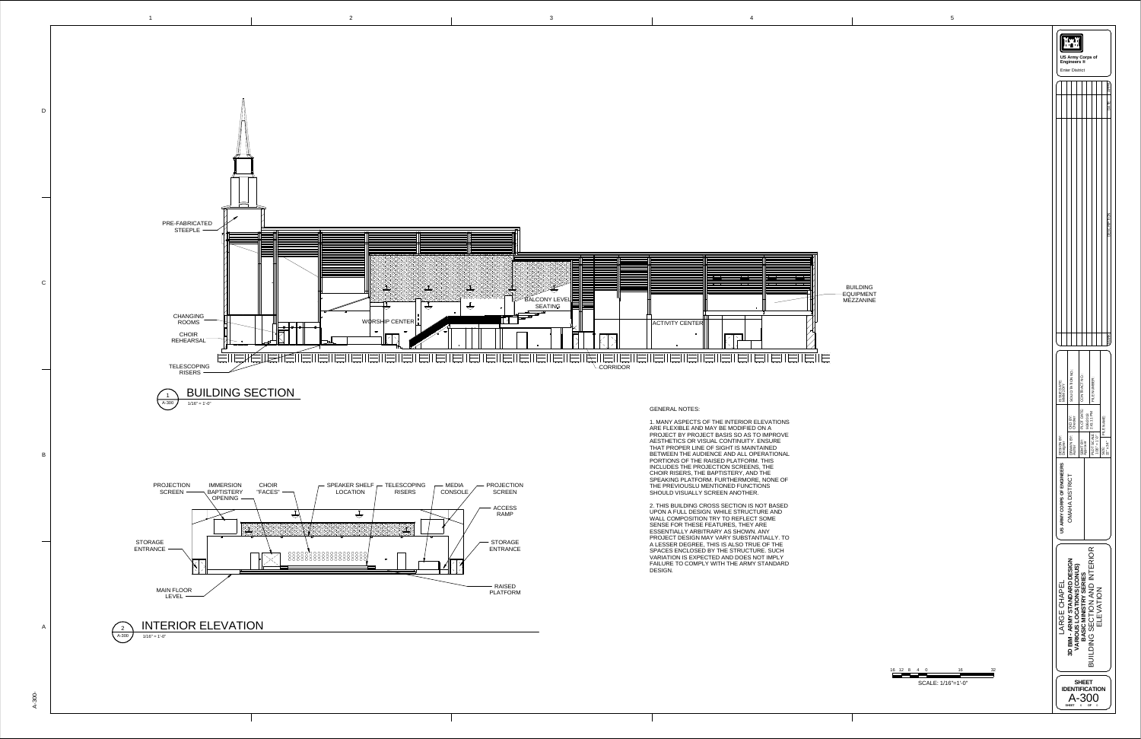BUILDING EQUIPMENT MEZZANINE

|                                                          | <b>US Army Corps of</b><br>Engineers ®<br><b>Enter District</b> |                                       |                                  |                                        |                 |                     |                  |
|----------------------------------------------------------|-----------------------------------------------------------------|---------------------------------------|----------------------------------|----------------------------------------|-----------------|---------------------|------------------|
|                                                          |                                                                 |                                       |                                  |                                        |                 |                     | APPR             |
|                                                          |                                                                 |                                       |                                  |                                        |                 |                     | <b>JATE</b>      |
|                                                          |                                                                 |                                       |                                  |                                        |                 |                     |                  |
|                                                          |                                                                 |                                       |                                  |                                        |                 |                     | Ĕ                |
|                                                          |                                                                 |                                       |                                  |                                        |                 |                     | MARK             |
| ISSUE DATE:<br>MMM 20YY<br>∑<br>B<br>DESIGN.<br>Designer | SOLICITATION NO.:<br>DRAWN BY: CKD BY:<br>Author Checker        | PLOT DATE:   CONTRACT NO.<br>SBMT BY: | 9/26/2013<br>Approver            | FILE NUMBER:<br>PLOT SCALE: 2:41:11 PM | $1/16" = 1'-0"$ | FILE NAME:<br>SIZE: | $22" \times 34"$ |
| US ARMY CORPS OF ENGINEERS                               | OMAHA DISTRICT                                                  |                                       |                                  |                                        |                 |                     |                  |
| LARGE CHAPEL                                             | D BIM - ARMY STANDARD DESIGN<br>VARIOUS LOCATIONS (CONUS)<br>ო  | <b>BASIC MINISTRY SERIES</b>          | DING SECTION AND INTERIOR        |                                        | ELEVATION       |                     |                  |
|                                                          | <b>SHEET</b>                                                    | 6                                     | SHEET<br><b>TIFICATION</b><br>OF |                                        | 0               |                     |                  |



16 12 8 4 0 16 32 <u> La Barat de la Barat de la Barat de la Bara</u> SCALE: 1/16"=1'-0"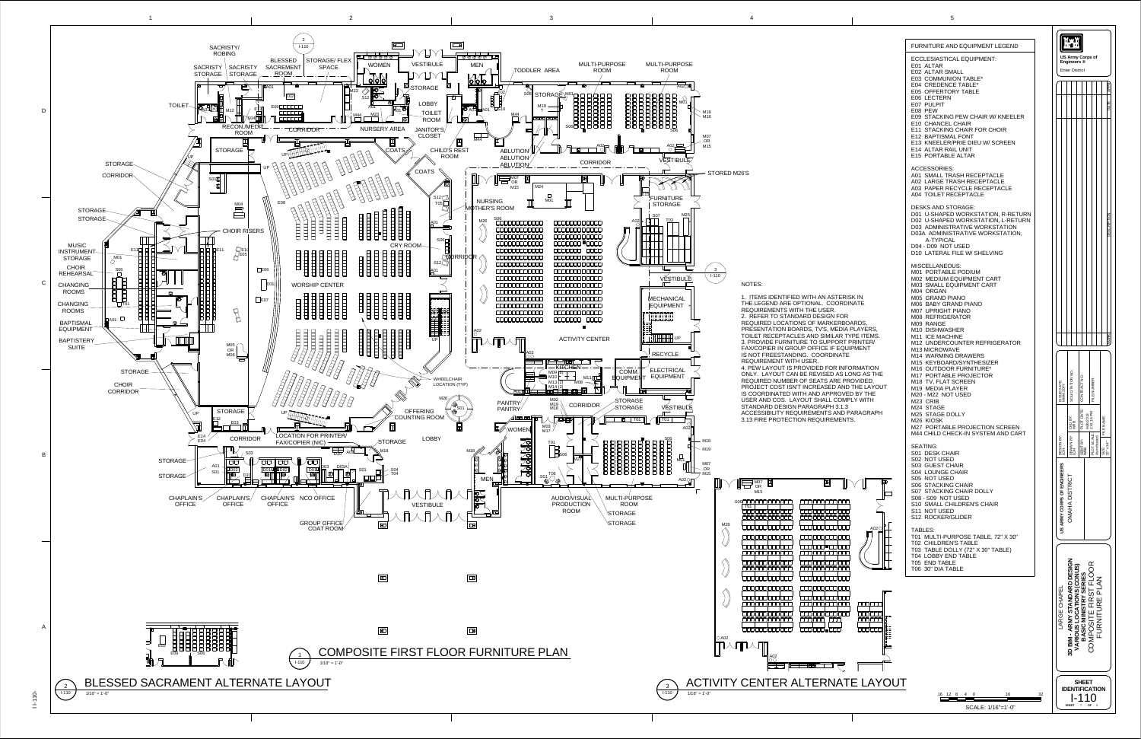$\bar{\Xi}$  $\overline{\phantom{0}}$  $\circ$ -